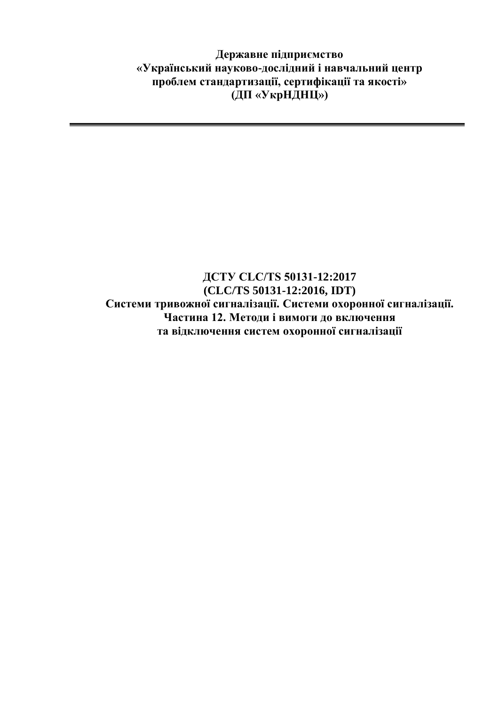**Державне підприємство «Український науково-дослідний і навчальний центр проблем стандартизації, сертифікації та якості» (ДП «УкрНДНЦ»)**

## **ДСТУ CLC/TS 50131-12:2017 (CLC/TS 50131-12:2016, IDT) Системи тривожної сигналізації. Системи охоронної сигналізації. Частина 12. Методи і вимоги до включення та відключення систем охоронної сигналізації**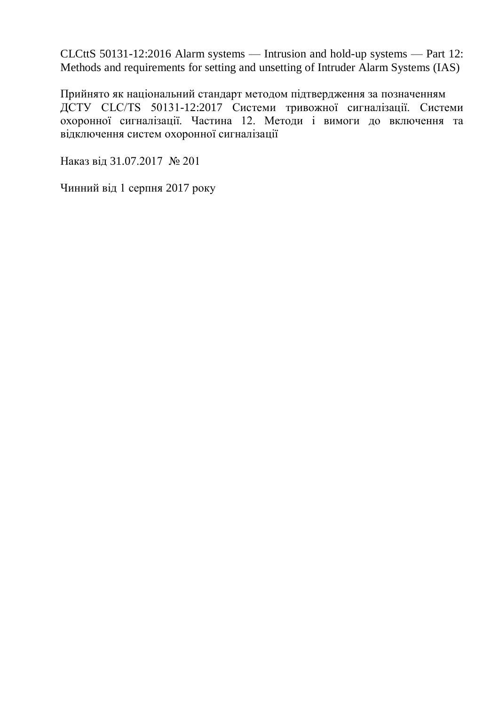CLCttS 50131-12:2016 Alarm systems — Intrusion and hold-up systems — Part 12: Methods and requirements for setting and unsetting of Intruder Alarm Systems (IAS)

Прийнято як національний стандарт методом підтвердження за позначенням ДСТУ CLC/TS 50131-12:2017 Системи тривожної сигналізації. Системи охоронної сигналізації. Частина 12. Методи і вимоги до включення та відключення систем охоронної сигналізації

Наказ від 31.07.2017 № 201

Чинний від 1 серпня 2017 року